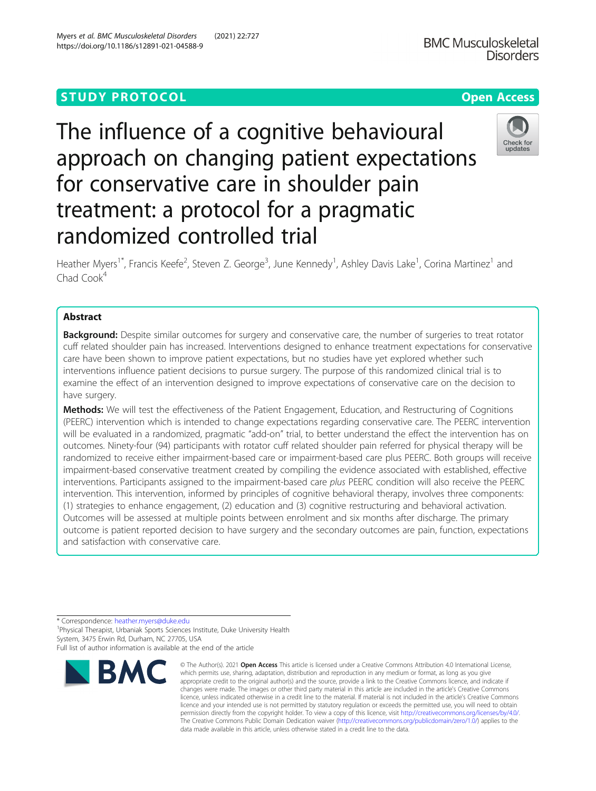# **STUDY PROTOCOL CONSUMING THE RESERVE ACCESS**

The influence of a cognitive behavioural approach on changing patient expectations for conservative care in shoulder pain treatment: a protocol for a pragmatic randomized controlled trial

Heather Myers<sup>1\*</sup>, Francis Keefe<sup>2</sup>, Steven Z. George<sup>3</sup>, June Kennedy<sup>1</sup>, Ashley Davis Lake<sup>1</sup>, Corina Martinez<sup>1</sup> and Chad Cook<sup>4</sup>

## Abstract

**Background:** Despite similar outcomes for surgery and conservative care, the number of surgeries to treat rotator cuff related shoulder pain has increased. Interventions designed to enhance treatment expectations for conservative care have been shown to improve patient expectations, but no studies have yet explored whether such interventions influence patient decisions to pursue surgery. The purpose of this randomized clinical trial is to examine the effect of an intervention designed to improve expectations of conservative care on the decision to have surgery.

Methods: We will test the effectiveness of the Patient Engagement, Education, and Restructuring of Cognitions (PEERC) intervention which is intended to change expectations regarding conservative care. The PEERC intervention will be evaluated in a randomized, pragmatic "add-on" trial, to better understand the effect the intervention has on outcomes. Ninety-four (94) participants with rotator cuff related shoulder pain referred for physical therapy will be randomized to receive either impairment-based care or impairment-based care plus PEERC. Both groups will receive impairment-based conservative treatment created by compiling the evidence associated with established, effective interventions. Participants assigned to the impairment-based care plus PEERC condition will also receive the PEERC intervention. This intervention, informed by principles of cognitive behavioral therapy, involves three components: (1) strategies to enhance engagement, (2) education and (3) cognitive restructuring and behavioral activation. Outcomes will be assessed at multiple points between enrolment and six months after discharge. The primary outcome is patient reported decision to have surgery and the secondary outcomes are pain, function, expectations and satisfaction with conservative care.

\* Correspondence: [heather.myers@duke.edu](mailto:heather.myers@duke.edu) <sup>1</sup>

**BMC** 

<sup>1</sup>Physical Therapist, Urbaniak Sports Sciences Institute, Duke University Health System, 3475 Erwin Rd, Durham, NC 27705, USA Full list of author information is available at the end of the article



© The Author(s), 2021 **Open Access** This article is licensed under a Creative Commons Attribution 4.0 International License, which permits use, sharing, adaptation, distribution and reproduction in any medium or format, as long as you give



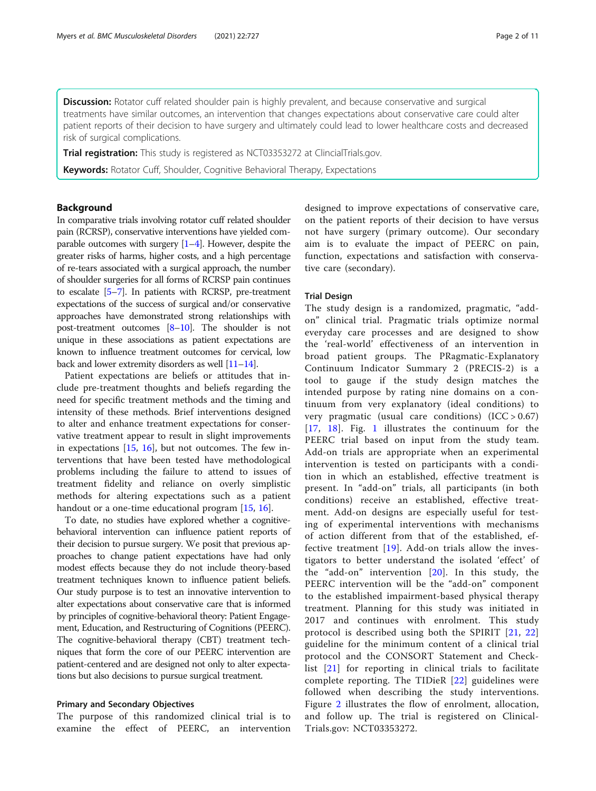Discussion: Rotator cuff related shoulder pain is highly prevalent, and because conservative and surgical treatments have similar outcomes, an intervention that changes expectations about conservative care could alter patient reports of their decision to have surgery and ultimately could lead to lower healthcare costs and decreased risk of surgical complications.

Trial registration: This study is registered as NCT03353272 at ClincialTrials.gov.

Keywords: Rotator Cuff, Shoulder, Cognitive Behavioral Therapy, Expectations

## Background

In comparative trials involving rotator cuff related shoulder pain (RCRSP), conservative interventions have yielded comparable outcomes with surgery  $[1-4]$  $[1-4]$  $[1-4]$  $[1-4]$ . However, despite the greater risks of harms, higher costs, and a high percentage of re-tears associated with a surgical approach, the number of shoulder surgeries for all forms of RCRSP pain continues to escalate [[5](#page-9-0)–[7\]](#page-9-0). In patients with RCRSP, pre-treatment expectations of the success of surgical and/or conservative approaches have demonstrated strong relationships with post-treatment outcomes  $[8-10]$  $[8-10]$  $[8-10]$  $[8-10]$  $[8-10]$ . The shoulder is not unique in these associations as patient expectations are known to influence treatment outcomes for cervical, low back and lower extremity disorders as well [[11](#page-9-0)–[14](#page-9-0)].

Patient expectations are beliefs or attitudes that include pre-treatment thoughts and beliefs regarding the need for specific treatment methods and the timing and intensity of these methods. Brief interventions designed to alter and enhance treatment expectations for conservative treatment appear to result in slight improvements in expectations [\[15](#page-9-0), [16\]](#page-9-0), but not outcomes. The few interventions that have been tested have methodological problems including the failure to attend to issues of treatment fidelity and reliance on overly simplistic methods for altering expectations such as a patient handout or a one-time educational program [\[15](#page-9-0), [16](#page-9-0)].

To date, no studies have explored whether a cognitivebehavioral intervention can influence patient reports of their decision to pursue surgery. We posit that previous approaches to change patient expectations have had only modest effects because they do not include theory-based treatment techniques known to influence patient beliefs. Our study purpose is to test an innovative intervention to alter expectations about conservative care that is informed by principles of cognitive-behavioral theory: Patient Engagement, Education, and Restructuring of Cognitions (PEERC). The cognitive-behavioral therapy (CBT) treatment techniques that form the core of our PEERC intervention are patient-centered and are designed not only to alter expectations but also decisions to pursue surgical treatment.

## Primary and Secondary Objectives

The purpose of this randomized clinical trial is to examine the effect of PEERC, an intervention designed to improve expectations of conservative care, on the patient reports of their decision to have versus not have surgery (primary outcome). Our secondary aim is to evaluate the impact of PEERC on pain, function, expectations and satisfaction with conservative care (secondary).

#### Trial Design

The study design is a randomized, pragmatic, "addon" clinical trial. Pragmatic trials optimize normal everyday care processes and are designed to show the 'real-world' effectiveness of an intervention in broad patient groups. The PRagmatic-Explanatory Continuum Indicator Summary 2 (PRECIS-2) is a tool to gauge if the study design matches the intended purpose by rating nine domains on a continuum from very explanatory (ideal conditions) to very pragmatic (usual care conditions)  $(ICC > 0.67)$ [[17](#page-9-0), [18\]](#page-9-0). Fig. [1](#page-2-0) illustrates the continuum for the PEERC trial based on input from the study team. Add-on trials are appropriate when an experimental intervention is tested on participants with a condition in which an established, effective treatment is present. In "add-on" trials, all participants (in both conditions) receive an established, effective treatment. Add-on designs are especially useful for testing of experimental interventions with mechanisms of action different from that of the established, effective treatment [[19](#page-9-0)]. Add-on trials allow the investigators to better understand the isolated 'effect' of the "add-on" intervention [[20](#page-9-0)]. In this study, the PEERC intervention will be the "add-on" component to the established impairment-based physical therapy treatment. Planning for this study was initiated in 2017 and continues with enrolment. This study protocol is described using both the SPIRIT [\[21,](#page-9-0) [22](#page-9-0)] guideline for the minimum content of a clinical trial protocol and the CONSORT Statement and Checklist [[21](#page-9-0)] for reporting in clinical trials to facilitate complete reporting. The TIDieR [[22](#page-9-0)] guidelines were followed when describing the study interventions. Figure [2](#page-2-0) illustrates the flow of enrolment, allocation, and follow up. The trial is registered on Clinical-Trials.gov: NCT03353272.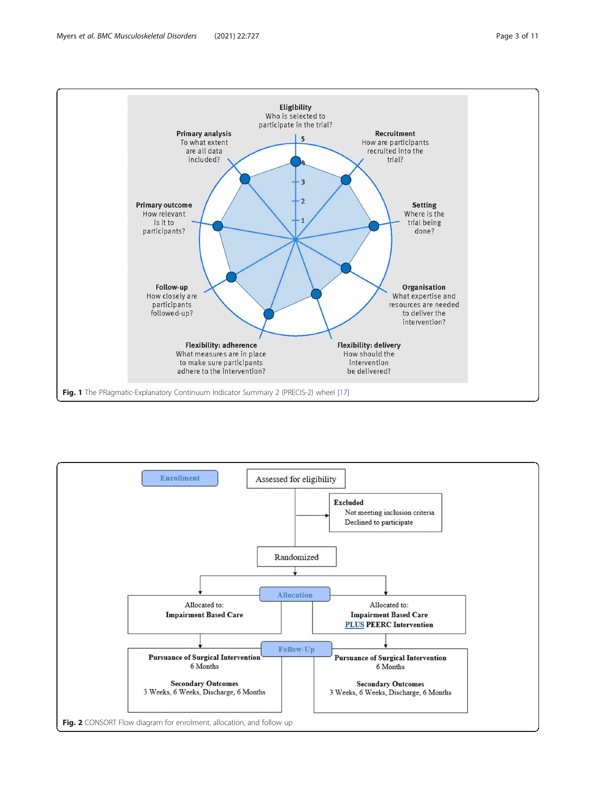<span id="page-2-0"></span>

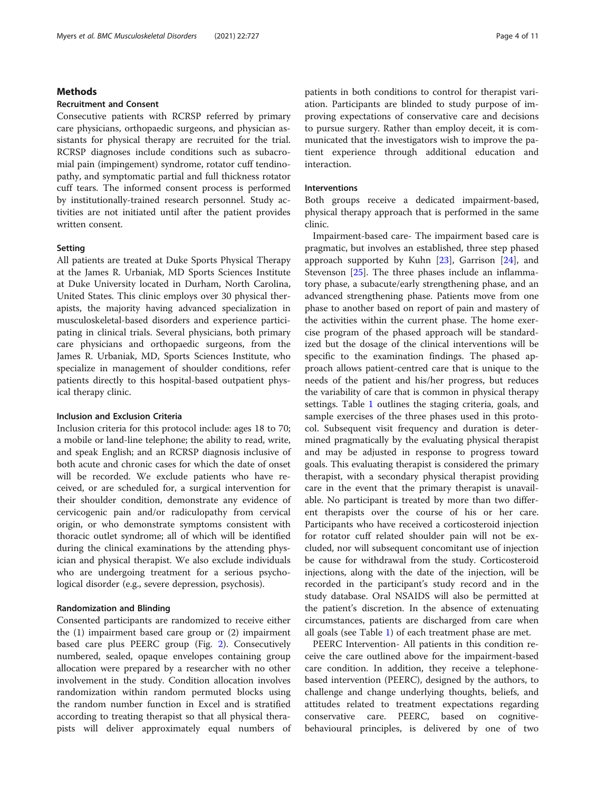## Methods

## Recruitment and Consent

Consecutive patients with RCRSP referred by primary care physicians, orthopaedic surgeons, and physician assistants for physical therapy are recruited for the trial. RCRSP diagnoses include conditions such as subacromial pain (impingement) syndrome, rotator cuff tendinopathy, and symptomatic partial and full thickness rotator cuff tears. The informed consent process is performed by institutionally-trained research personnel. Study activities are not initiated until after the patient provides written consent.

## **Setting**

All patients are treated at Duke Sports Physical Therapy at the James R. Urbaniak, MD Sports Sciences Institute at Duke University located in Durham, North Carolina, United States. This clinic employs over 30 physical therapists, the majority having advanced specialization in musculoskeletal-based disorders and experience participating in clinical trials. Several physicians, both primary care physicians and orthopaedic surgeons, from the James R. Urbaniak, MD, Sports Sciences Institute, who specialize in management of shoulder conditions, refer patients directly to this hospital-based outpatient physical therapy clinic.

## Inclusion and Exclusion Criteria

Inclusion criteria for this protocol include: ages 18 to 70; a mobile or land-line telephone; the ability to read, write, and speak English; and an RCRSP diagnosis inclusive of both acute and chronic cases for which the date of onset will be recorded. We exclude patients who have received, or are scheduled for, a surgical intervention for their shoulder condition, demonstrate any evidence of cervicogenic pain and/or radiculopathy from cervical origin, or who demonstrate symptoms consistent with thoracic outlet syndrome; all of which will be identified during the clinical examinations by the attending physician and physical therapist. We also exclude individuals who are undergoing treatment for a serious psychological disorder (e.g., severe depression, psychosis).

#### Randomization and Blinding

Consented participants are randomized to receive either the (1) impairment based care group or (2) impairment based care plus PEERC group (Fig. [2\)](#page-2-0). Consecutively numbered, sealed, opaque envelopes containing group allocation were prepared by a researcher with no other involvement in the study. Condition allocation involves randomization within random permuted blocks using the random number function in Excel and is stratified according to treating therapist so that all physical therapists will deliver approximately equal numbers of patients in both conditions to control for therapist variation. Participants are blinded to study purpose of improving expectations of conservative care and decisions to pursue surgery. Rather than employ deceit, it is communicated that the investigators wish to improve the patient experience through additional education and interaction.

#### Interventions

Both groups receive a dedicated impairment-based, physical therapy approach that is performed in the same clinic.

Impairment-based care- The impairment based care is pragmatic, but involves an established, three step phased approach supported by Kuhn  $[23]$ , Garrison  $[24]$  $[24]$ , and Stevenson [\[25](#page-9-0)]. The three phases include an inflammatory phase, a subacute/early strengthening phase, and an advanced strengthening phase. Patients move from one phase to another based on report of pain and mastery of the activities within the current phase. The home exercise program of the phased approach will be standardized but the dosage of the clinical interventions will be specific to the examination findings. The phased approach allows patient-centred care that is unique to the needs of the patient and his/her progress, but reduces the variability of care that is common in physical therapy settings. Table [1](#page-4-0) outlines the staging criteria, goals, and sample exercises of the three phases used in this protocol. Subsequent visit frequency and duration is determined pragmatically by the evaluating physical therapist and may be adjusted in response to progress toward goals. This evaluating therapist is considered the primary therapist, with a secondary physical therapist providing care in the event that the primary therapist is unavailable. No participant is treated by more than two different therapists over the course of his or her care. Participants who have received a corticosteroid injection for rotator cuff related shoulder pain will not be excluded, nor will subsequent concomitant use of injection be cause for withdrawal from the study. Corticosteroid injections, along with the date of the injection, will be recorded in the participant's study record and in the study database. Oral NSAIDS will also be permitted at the patient's discretion. In the absence of extenuating circumstances, patients are discharged from care when all goals (see Table [1](#page-4-0)) of each treatment phase are met.

PEERC Intervention- All patients in this condition receive the care outlined above for the impairment-based care condition. In addition, they receive a telephonebased intervention (PEERC), designed by the authors, to challenge and change underlying thoughts, beliefs, and attitudes related to treatment expectations regarding conservative care. PEERC, based on cognitivebehavioural principles, is delivered by one of two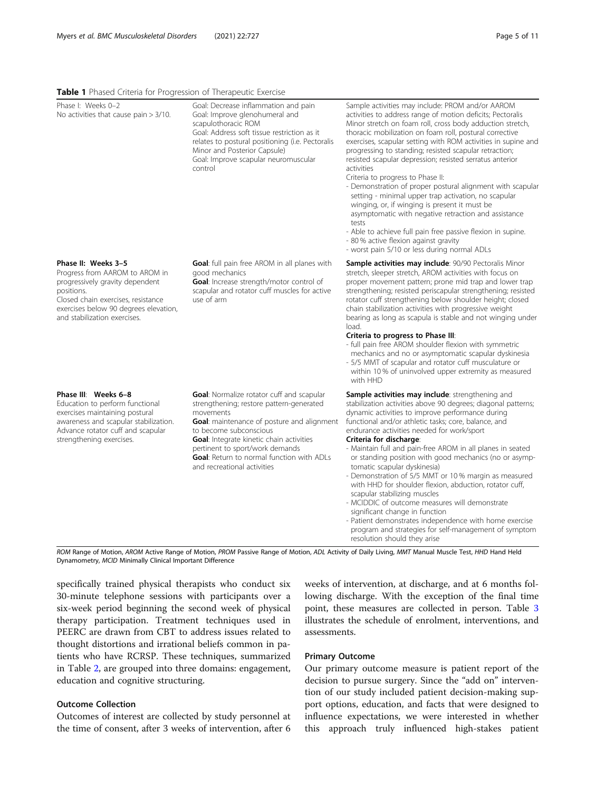## <span id="page-4-0"></span>Table 1 Phased Criteria for Progression of Therapeutic Exercise

| Phase I: Weeks 0-2<br>No activities that cause pain $> 3/10$ .                                                                                                                                                        | Goal: Decrease inflammation and pain<br>Goal: Improve glenohumeral and<br>scapulothoracic ROM<br>Goal: Address soft tissue restriction as it<br>relates to postural positioning (i.e. Pectoralis<br>Minor and Posterior Capsule)<br>Goal: Improve scapular neuromuscular<br>control                                                          | Sample activities may include: PROM and/or AAROM<br>activities to address range of motion deficits; Pectoralis<br>Minor stretch on foam roll, cross body adduction stretch,<br>thoracic mobilization on foam roll, postural corrective<br>exercises, scapular setting with ROM activities in supine and<br>progressing to standing; resisted scapular retraction;<br>resisted scapular depression; resisted serratus anterior<br>activities<br>Criteria to progress to Phase II:<br>- Demonstration of proper postural alignment with scapular<br>setting - minimal upper trap activation, no scapular<br>winging, or, if winging is present it must be<br>asymptomatic with negative retraction and assistance<br>tests<br>- Able to achieve full pain free passive flexion in supine.<br>- 80 % active flexion against gravity<br>- worst pain 5/10 or less during normal ADLs |
|-----------------------------------------------------------------------------------------------------------------------------------------------------------------------------------------------------------------------|----------------------------------------------------------------------------------------------------------------------------------------------------------------------------------------------------------------------------------------------------------------------------------------------------------------------------------------------|----------------------------------------------------------------------------------------------------------------------------------------------------------------------------------------------------------------------------------------------------------------------------------------------------------------------------------------------------------------------------------------------------------------------------------------------------------------------------------------------------------------------------------------------------------------------------------------------------------------------------------------------------------------------------------------------------------------------------------------------------------------------------------------------------------------------------------------------------------------------------------|
| Phase II: Weeks 3-5<br>Progress from AAROM to AROM in<br>progressively gravity dependent<br>positions.<br>Closed chain exercises, resistance<br>exercises below 90 degrees elevation,<br>and stabilization exercises. | <b>Goal:</b> full pain free AROM in all planes with<br>good mechanics<br>Goal: Increase strength/motor control of<br>scapular and rotator cuff muscles for active<br>use of arm                                                                                                                                                              | Sample activities may include: 90/90 Pectoralis Minor<br>stretch, sleeper stretch, AROM activities with focus on<br>proper movement pattern; prone mid trap and lower trap<br>strengthening; resisted periscapular strengthening; resisted<br>rotator cuff strengthening below shoulder height; closed<br>chain stabilization activities with progressive weight<br>bearing as long as scapula is stable and not winging under<br>load.<br>Criteria to progress to Phase III:<br>- full pain free AROM shoulder flexion with symmetric<br>mechanics and no or asymptomatic scapular dyskinesia<br>- 5/5 MMT of scapular and rotator cuff musculature or<br>within 10% of uninvolved upper extremity as measured<br>with HHD                                                                                                                                                      |
| Phase III: Weeks 6-8<br>Education to perform functional<br>exercises maintaining postural<br>awareness and scapular stabilization.<br>Advance rotator cuff and scapular<br>strengthening exercises.                   | Goal: Normalize rotator cuff and scapular<br>strengthening; restore pattern-generated<br>movements<br>Goal: maintenance of posture and alignment<br>to become subconscious<br>Goal: Integrate kinetic chain activities<br>pertinent to sport/work demands<br><b>Goal:</b> Return to normal function with ADLs<br>and recreational activities | <b>Sample activities may include:</b> strengthening and<br>stabilization activities above 90 degrees; diagonal patterns;<br>dynamic activities to improve performance during<br>functional and/or athletic tasks; core, balance, and<br>endurance activities needed for work/sport<br>Criteria for discharge:<br>- Maintain full and pain-free AROM in all planes in seated<br>or standing position with good mechanics (no or asymp-<br>tomatic scapular dyskinesia)<br>- Demonstration of 5/5 MMT or 10% margin as measured<br>with HHD for shoulder flexion, abduction, rotator cuff,<br>scapular stabilizing muscles<br>- MCIDDIC of outcome measures will demonstrate<br>significant change in function<br>- Patient demonstrates independence with home exercise<br>program and strategies for self-management of symptom<br>resolution should they arise                  |

ROM Range of Motion, AROM Active Range of Motion, PROM Passive Range of Motion, ADL Activity of Daily Living, MMT Manual Muscle Test, HHD Hand Held Dynamometry, MCID Minimally Clinical Important Difference

specifically trained physical therapists who conduct six 30-minute telephone sessions with participants over a six-week period beginning the second week of physical therapy participation. Treatment techniques used in PEERC are drawn from CBT to address issues related to thought distortions and irrational beliefs common in patients who have RCRSP. These techniques, summarized in Table [2,](#page-5-0) are grouped into three domains: engagement, education and cognitive structuring.

## Outcome Collection

Outcomes of interest are collected by study personnel at the time of consent, after 3 weeks of intervention, after 6 weeks of intervention, at discharge, and at 6 months following discharge. With the exception of the final time point, these measures are collected in person. Table [3](#page-6-0) illustrates the schedule of enrolment, interventions, and assessments.

## Primary Outcome

Our primary outcome measure is patient report of the decision to pursue surgery. Since the "add on" intervention of our study included patient decision-making support options, education, and facts that were designed to influence expectations, we were interested in whether this approach truly influenced high-stakes patient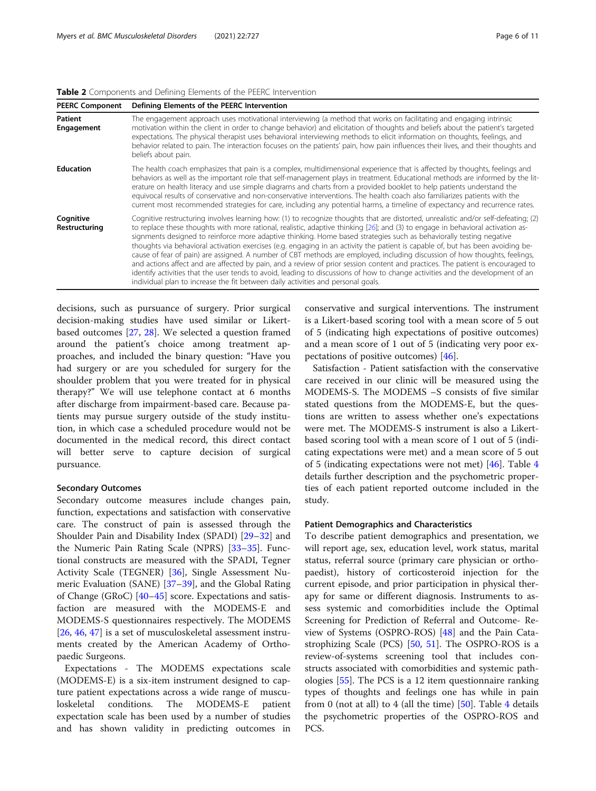<span id="page-5-0"></span>

|  |  | Table 2 Components and Defining Elements of the PEERC Intervention |
|--|--|--------------------------------------------------------------------|
|  |  |                                                                    |

| <b>PEERC Component</b>       | Defining Elements of the PEERC Intervention                                                                                                                                                                                                                                                                                                                                                                                                                                                                                                                                                                                                                                                                                                                                                                                                                                                                                                                                                                            |
|------------------------------|------------------------------------------------------------------------------------------------------------------------------------------------------------------------------------------------------------------------------------------------------------------------------------------------------------------------------------------------------------------------------------------------------------------------------------------------------------------------------------------------------------------------------------------------------------------------------------------------------------------------------------------------------------------------------------------------------------------------------------------------------------------------------------------------------------------------------------------------------------------------------------------------------------------------------------------------------------------------------------------------------------------------|
| <b>Patient</b><br>Engagement | The engagement approach uses motivational interviewing (a method that works on facilitating and engaging intrinsic<br>motivation within the client in order to change behavior) and elicitation of thoughts and beliefs about the patient's targeted<br>expectations. The physical therapist uses behavioral interviewing methods to elicit information on thoughts, feelings, and<br>behavior related to pain. The interaction focuses on the patients' pain, how pain influences their lives, and their thoughts and<br>beliefs about pain.                                                                                                                                                                                                                                                                                                                                                                                                                                                                          |
| <b>Education</b>             | The health coach emphasizes that pain is a complex, multidimensional experience that is affected by thoughts, feelings and<br>behaviors as well as the important role that self-management plays in treatment. Educational methods are informed by the lit-<br>erature on health literacy and use simple diagrams and charts from a provided booklet to help patients understand the<br>equivocal results of conservative and non-conservative interventions. The health coach also familiarizes patients with the<br>current most recommended strategies for care, including any potential harms, a timeline of expectancy and recurrence rates.                                                                                                                                                                                                                                                                                                                                                                      |
| Cognitive<br>Restructuring   | Cognitive restructuring involves learning how: (1) to recognize thoughts that are distorted, unrealistic and/or self-defeating; (2)<br>to replace these thoughts with more rational, realistic, adaptive thinking [26]; and (3) to engage in behavioral activation as-<br>signments designed to reinforce more adaptive thinking. Home based strategies such as behaviorally testing negative<br>thoughts via behavioral activation exercises (e.g. engaging in an activity the patient is capable of, but has been avoiding be-<br>cause of fear of pain) are assigned. A number of CBT methods are employed, including discussion of how thoughts, feelings,<br>and actions affect and are affected by pain, and a review of prior session content and practices. The patient is encouraged to<br>identify activities that the user tends to avoid, leading to discussions of how to change activities and the development of an<br>individual plan to increase the fit between daily activities and personal goals. |

decisions, such as pursuance of surgery. Prior surgical decision-making studies have used similar or Likertbased outcomes [[27,](#page-9-0) [28\]](#page-9-0). We selected a question framed around the patient's choice among treatment approaches, and included the binary question: "Have you had surgery or are you scheduled for surgery for the shoulder problem that you were treated for in physical therapy?" We will use telephone contact at 6 months after discharge from impairment-based care. Because patients may pursue surgery outside of the study institution, in which case a scheduled procedure would not be documented in the medical record, this direct contact will better serve to capture decision of surgical pursuance.

## Secondary Outcomes

Secondary outcome measures include changes pain, function, expectations and satisfaction with conservative care. The construct of pain is assessed through the Shoulder Pain and Disability Index (SPADI) [[29](#page-9-0)–[32](#page-9-0)] and the Numeric Pain Rating Scale (NPRS) [\[33](#page-9-0)–[35\]](#page-10-0). Functional constructs are measured with the SPADI, Tegner Activity Scale (TEGNER) [[36\]](#page-10-0), Single Assessment Numeric Evaluation (SANE) [\[37](#page-10-0)–[39\]](#page-10-0), and the Global Rating of Change (GRoC) [[40](#page-10-0)–[45](#page-10-0)] score. Expectations and satisfaction are measured with the MODEMS-E and MODEMS-S questionnaires respectively. The MODEMS [[26,](#page-9-0) [46,](#page-10-0) [47](#page-10-0)] is a set of musculoskeletal assessment instruments created by the American Academy of Orthopaedic Surgeons.

Expectations - The MODEMS expectations scale (MODEMS-E) is a six-item instrument designed to capture patient expectations across a wide range of musculoskeletal conditions. The MODEMS-E patient expectation scale has been used by a number of studies and has shown validity in predicting outcomes in

conservative and surgical interventions. The instrument is a Likert-based scoring tool with a mean score of 5 out of 5 (indicating high expectations of positive outcomes) and a mean score of 1 out of 5 (indicating very poor expectations of positive outcomes) [\[46\]](#page-10-0).

Satisfaction - Patient satisfaction with the conservative care received in our clinic will be measured using the MODEMS-S. The MODEMS –S consists of five similar stated questions from the MODEMS-E, but the questions are written to assess whether one's expectations were met. The MODEMS-S instrument is also a Likertbased scoring tool with a mean score of 1 out of 5 (indicating expectations were met) and a mean score of 5 out of 5 (indicating expectations were not met) [\[46](#page-10-0)]. Table [4](#page-7-0) details further description and the psychometric properties of each patient reported outcome included in the study.

## Patient Demographics and Characteristics

To describe patient demographics and presentation, we will report age, sex, education level, work status, marital status, referral source (primary care physician or orthopaedist), history of corticosteroid injection for the current episode, and prior participation in physical therapy for same or different diagnosis. Instruments to assess systemic and comorbidities include the Optimal Screening for Prediction of Referral and Outcome- Review of Systems (OSPRO-ROS) [\[48](#page-10-0)] and the Pain Catastrophizing Scale (PCS)  $[50, 51]$  $[50, 51]$  $[50, 51]$ . The OSPRO-ROS is a review-of-systems screening tool that includes constructs associated with comorbidities and systemic pathologies [\[55](#page-10-0)]. The PCS is a 12 item questionnaire ranking types of thoughts and feelings one has while in pain from 0 (not at all) to [4](#page-7-0) (all the time)  $[50]$  $[50]$ . Table 4 details the psychometric properties of the OSPRO-ROS and PCS.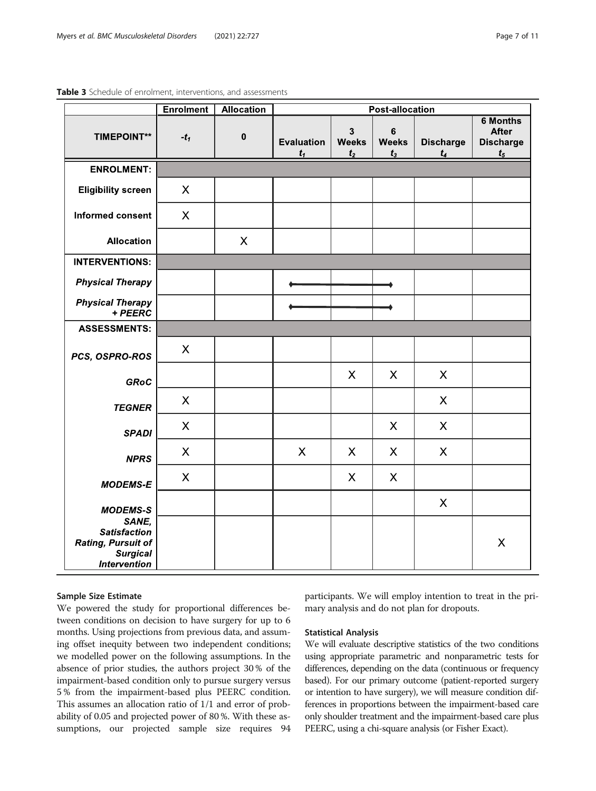|                                                                     | <b>Enrolment</b>          | <b>Allocation</b> | <b>Post-allocation</b>     |                                                |                                  |                           |                                                                |
|---------------------------------------------------------------------|---------------------------|-------------------|----------------------------|------------------------------------------------|----------------------------------|---------------------------|----------------------------------------------------------------|
| <b>TIMEPOINT**</b>                                                  | $-t_1$                    | $\pmb{0}$         | <b>Evaluation</b><br>$t_1$ | $\mathbf{3}$<br><b>Weeks</b><br>t <sub>2</sub> | $\bf 6$<br><b>Weeks</b><br>$t_3$ | <b>Discharge</b><br>$t_4$ | <b>6 Months</b><br><b>After</b><br><b>Discharge</b><br>$t_{5}$ |
| <b>ENROLMENT:</b>                                                   |                           |                   |                            |                                                |                                  |                           |                                                                |
| <b>Eligibility screen</b>                                           | X                         |                   |                            |                                                |                                  |                           |                                                                |
| <b>Informed consent</b>                                             | $\boldsymbol{\mathsf{X}}$ |                   |                            |                                                |                                  |                           |                                                                |
| <b>Allocation</b>                                                   |                           | X                 |                            |                                                |                                  |                           |                                                                |
| <b>INTERVENTIONS:</b>                                               |                           |                   |                            |                                                |                                  |                           |                                                                |
| <b>Physical Therapy</b>                                             |                           |                   |                            |                                                |                                  |                           |                                                                |
| <b>Physical Therapy</b><br>+ PEERC                                  |                           |                   |                            |                                                |                                  |                           |                                                                |
| <b>ASSESSMENTS:</b>                                                 |                           |                   |                            |                                                |                                  |                           |                                                                |
| PCS, OSPRO-ROS                                                      | X                         |                   |                            |                                                |                                  |                           |                                                                |
| <b>GRoC</b>                                                         |                           |                   |                            | X                                              | $\sf X$                          | X                         |                                                                |
| <b>TEGNER</b>                                                       | $\boldsymbol{\mathsf{X}}$ |                   |                            |                                                |                                  | $\boldsymbol{\mathsf{X}}$ |                                                                |
| <b>SPADI</b>                                                        | $\boldsymbol{\mathsf{X}}$ |                   |                            |                                                | $\sf X$                          | $\times$                  |                                                                |
| <b>NPRS</b>                                                         | $\boldsymbol{\mathsf{X}}$ |                   | $\boldsymbol{\mathsf{X}}$  | $\sf X$                                        | X                                | $\boldsymbol{\mathsf{X}}$ |                                                                |
| <b>MODEMS-E</b>                                                     | $\boldsymbol{\mathsf{X}}$ |                   |                            | $\boldsymbol{\mathsf{X}}$                      | X                                |                           |                                                                |
| <b>MODEMS-S</b><br>SANE,<br><b>Satisfaction</b>                     |                           |                   |                            |                                                |                                  | $\times$                  |                                                                |
| <b>Rating, Pursuit of</b><br><b>Surgical</b><br><b>Intervention</b> |                           |                   |                            |                                                |                                  |                           | $\boldsymbol{\mathsf{X}}$                                      |

<span id="page-6-0"></span>Table 3 Schedule of enrolment, interventions, and assessments

## Sample Size Estimate

We powered the study for proportional differences between conditions on decision to have surgery for up to 6 months. Using projections from previous data, and assuming offset inequity between two independent conditions; we modelled power on the following assumptions. In the absence of prior studies, the authors project 30 % of the impairment-based condition only to pursue surgery versus 5 % from the impairment-based plus PEERC condition. This assumes an allocation ratio of 1/1 and error of probability of 0.05 and projected power of 80 %. With these assumptions, our projected sample size requires 94 participants. We will employ intention to treat in the primary analysis and do not plan for dropouts.

## Statistical Analysis

We will evaluate descriptive statistics of the two conditions using appropriate parametric and nonparametric tests for differences, depending on the data (continuous or frequency based). For our primary outcome (patient-reported surgery or intention to have surgery), we will measure condition differences in proportions between the impairment-based care only shoulder treatment and the impairment-based care plus PEERC, using a chi-square analysis (or Fisher Exact).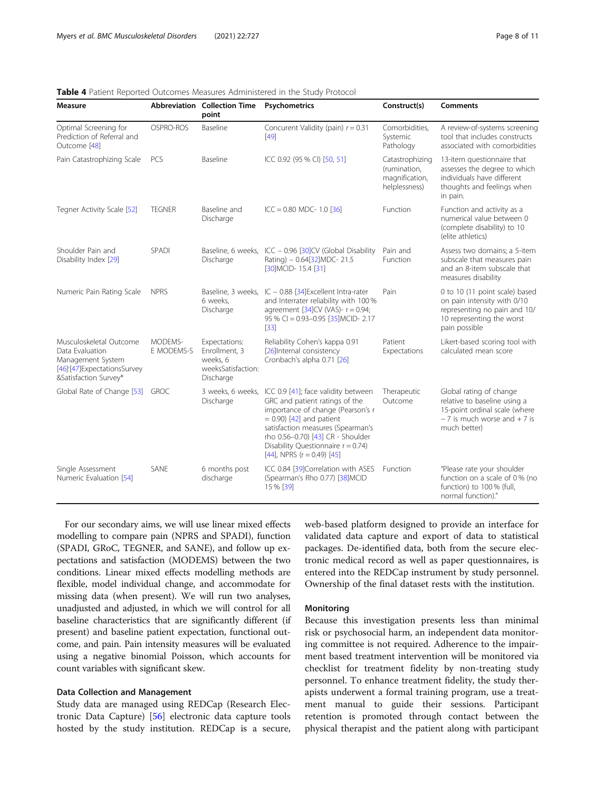| <b>Measure</b>                                                                                                             |                       | Abbreviation Collection Time<br>point                                         | Psychometrics                                                                                                                                                                                                                                                                                  | Construct(s)                                                       | <b>Comments</b>                                                                                                                             |
|----------------------------------------------------------------------------------------------------------------------------|-----------------------|-------------------------------------------------------------------------------|------------------------------------------------------------------------------------------------------------------------------------------------------------------------------------------------------------------------------------------------------------------------------------------------|--------------------------------------------------------------------|---------------------------------------------------------------------------------------------------------------------------------------------|
| Optimal Screening for<br>Prediction of Referral and<br>Outcome [48]                                                        | OSPRO-ROS             | Baseline                                                                      | Concurent Validity (pain) $r = 0.31$<br>[49]                                                                                                                                                                                                                                                   | Comorbidities,<br>Systemic<br>Pathology                            | A review-of-systems screening<br>tool that includes constructs<br>associated with comorbidities                                             |
| Pain Catastrophizing Scale                                                                                                 | PCS                   | Baseline                                                                      | ICC 0.92 (95 % CI) [50, 51]                                                                                                                                                                                                                                                                    | Catastrophizing<br>(rumination,<br>magnification,<br>helplessness) | 13-item questionnaire that<br>assesses the degree to which<br>individuals have different<br>thoughts and feelings when<br>in pain.          |
| Tegner Activity Scale [52]                                                                                                 | <b>TEGNER</b>         | Baseline and<br>Discharge                                                     | $ICC = 0.80$ MDC- 1.0 [36]                                                                                                                                                                                                                                                                     | Function                                                           | Function and activity as a<br>numerical value between 0<br>(complete disability) to 10<br>(elite athletics)                                 |
| Shoulder Pain and<br>Disability Index [29]                                                                                 | SPADI                 | Discharge                                                                     | Baseline, 6 weeks, ICC - 0.96 [30]CV (Global Disability<br>Rating) - 0.64[32]MDC- 21.5<br>[30] MCID-15.4 [31]                                                                                                                                                                                  | Pain and<br>Function                                               | Assess two domains; a 5-item<br>subscale that measures pain<br>and an 8-item subscale that<br>measures disability                           |
| Numeric Pain Rating Scale                                                                                                  | <b>NPRS</b>           | Baseline, 3 weeks,<br>6 weeks,<br>Discharge                                   | IC - 0.88 [34] Excellent Intra-rater<br>and Interrater reliability with 100 %<br>agreement $[34]$ CV (VAS)- $r = 0.94$ ;<br>95 % CI = 0.93-0.95 [35] MCID-2.17<br>$[33]$                                                                                                                       | Pain                                                               | 0 to 10 (11 point scale) based<br>on pain intensity with 0/10<br>representing no pain and 10/<br>10 representing the worst<br>pain possible |
| Musculoskeletal Outcome<br>Data Evaluation<br>Management System<br>[46] '[47] Expectations Survey<br>&Satisfaction Survey* | MODEMS-<br>E MODEMS-S | Expectations:<br>Enrollment, 3<br>weeks. 6<br>weeksSatisfaction:<br>Discharge | Reliability Cohen's kappa 0.91<br>[26] Internal consistency<br>Cronbach's alpha 0.71 [26]                                                                                                                                                                                                      | Patient<br>Expectations                                            | Likert-based scoring tool with<br>calculated mean score                                                                                     |
| Global Rate of Change [53]                                                                                                 | <b>GROC</b>           | 3 weeks, 6 weeks,<br>Discharge                                                | ICC 0.9 [41]; face validity between<br>GRC and patient ratings of the<br>importance of change (Pearson's r<br>$= 0.90$ ) [42] and patient<br>satisfaction measures (Spearman's<br>rho 0.56-0.70) [43] CR - Shoulder<br>Disability Questionnaire $r = 0.74$ )<br>[44], NPRS ( $r = 0.49$ ) [45] | Therapeutic<br>Outcome                                             | Global rating of change<br>relative to baseline using a<br>15-point ordinal scale (where<br>$-7$ is much worse and $+7$ is<br>much better)  |
| Single Assessment<br>Numeric Evaluation [54]                                                                               | SANE                  | 6 months post<br>discharge                                                    | ICC 0.84 [39]Correlation with ASES<br>(Spearman's Rho 0.77) [38] MCID<br>15 % [39]                                                                                                                                                                                                             | Function                                                           | "Please rate your shoulder<br>function on a scale of 0% (no<br>function) to 100 % (full,<br>normal function)."                              |

<span id="page-7-0"></span>Table 4 Patient Reported Outcomes Measures Administered in the Study Protocol

For our secondary aims, we will use linear mixed effects modelling to compare pain (NPRS and SPADI), function (SPADI, GRoC, TEGNER, and SANE), and follow up expectations and satisfaction (MODEMS) between the two conditions. Linear mixed effects modelling methods are flexible, model individual change, and accommodate for missing data (when present). We will run two analyses, unadjusted and adjusted, in which we will control for all baseline characteristics that are significantly different (if present) and baseline patient expectation, functional outcome, and pain. Pain intensity measures will be evaluated using a negative binomial Poisson, which accounts for count variables with significant skew.

## Data Collection and Management

Study data are managed using REDCap (Research Electronic Data Capture) [\[56](#page-10-0)] electronic data capture tools hosted by the study institution. REDCap is a secure, web-based platform designed to provide an interface for validated data capture and export of data to statistical packages. De-identified data, both from the secure electronic medical record as well as paper questionnaires, is entered into the REDCap instrument by study personnel. Ownership of the final dataset rests with the institution.

#### **Monitoring**

Because this investigation presents less than minimal risk or psychosocial harm, an independent data monitoring committee is not required. Adherence to the impairment based treatment intervention will be monitored via checklist for treatment fidelity by non-treating study personnel. To enhance treatment fidelity, the study therapists underwent a formal training program, use a treatment manual to guide their sessions. Participant retention is promoted through contact between the physical therapist and the patient along with participant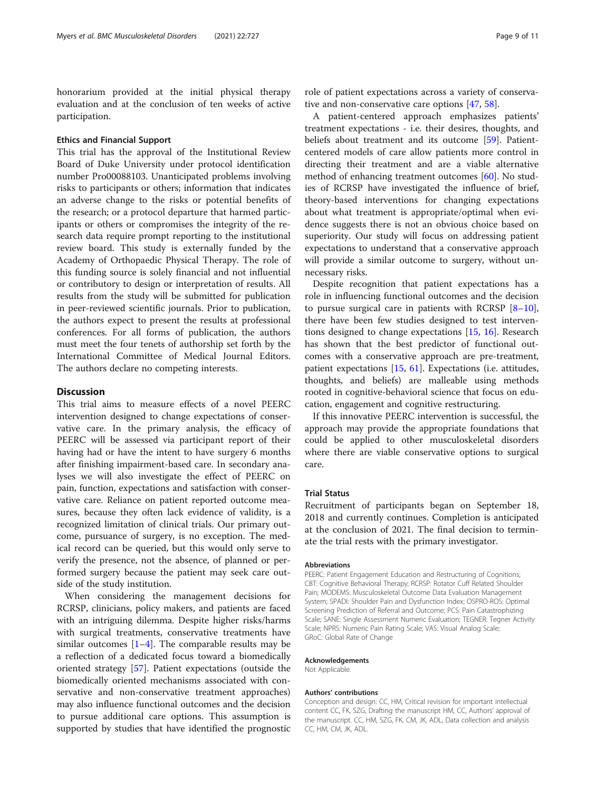honorarium provided at the initial physical therapy evaluation and at the conclusion of ten weeks of active participation.

## Ethics and Financial Support

This trial has the approval of the Institutional Review Board of Duke University under protocol identification number Pro00088103. Unanticipated problems involving risks to participants or others; information that indicates an adverse change to the risks or potential benefits of the research; or a protocol departure that harmed participants or others or compromises the integrity of the research data require prompt reporting to the institutional review board. This study is externally funded by the Academy of Orthopaedic Physical Therapy. The role of this funding source is solely financial and not influential or contributory to design or interpretation of results. All results from the study will be submitted for publication in peer-reviewed scientific journals. Prior to publication, the authors expect to present the results at professional conferences. For all forms of publication, the authors must meet the four tenets of authorship set forth by the International Committee of Medical Journal Editors. The authors declare no competing interests.

## **Discussion**

This trial aims to measure effects of a novel PEERC intervention designed to change expectations of conservative care. In the primary analysis, the efficacy of PEERC will be assessed via participant report of their having had or have the intent to have surgery 6 months after finishing impairment-based care. In secondary analyses we will also investigate the effect of PEERC on pain, function, expectations and satisfaction with conservative care. Reliance on patient reported outcome measures, because they often lack evidence of validity, is a recognized limitation of clinical trials. Our primary outcome, pursuance of surgery, is no exception. The medical record can be queried, but this would only serve to verify the presence, not the absence, of planned or performed surgery because the patient may seek care outside of the study institution.

When considering the management decisions for RCRSP, clinicians, policy makers, and patients are faced with an intriguing dilemma. Despite higher risks/harms with surgical treatments, conservative treatments have similar outcomes  $[1-4]$  $[1-4]$  $[1-4]$  $[1-4]$ . The comparable results may be a reflection of a dedicated focus toward a biomedically oriented strategy [[57\]](#page-10-0). Patient expectations (outside the biomedically oriented mechanisms associated with conservative and non-conservative treatment approaches) may also influence functional outcomes and the decision to pursue additional care options. This assumption is supported by studies that have identified the prognostic

A patient-centered approach emphasizes patients' treatment expectations - i.e. their desires, thoughts, and beliefs about treatment and its outcome [\[59](#page-10-0)]. Patientcentered models of care allow patients more control in directing their treatment and are a viable alternative method of enhancing treatment outcomes [[60\]](#page-10-0). No studies of RCRSP have investigated the influence of brief, theory-based interventions for changing expectations about what treatment is appropriate/optimal when evidence suggests there is not an obvious choice based on superiority. Our study will focus on addressing patient expectations to understand that a conservative approach will provide a similar outcome to surgery, without unnecessary risks.

Despite recognition that patient expectations has a role in influencing functional outcomes and the decision to pursue surgical care in patients with RCRSP  $[8-10]$  $[8-10]$  $[8-10]$  $[8-10]$  $[8-10]$ , there have been few studies designed to test interventions designed to change expectations [\[15](#page-9-0), [16](#page-9-0)]. Research has shown that the best predictor of functional outcomes with a conservative approach are pre-treatment, patient expectations [[15,](#page-9-0) [61](#page-10-0)]. Expectations (i.e. attitudes, thoughts, and beliefs) are malleable using methods rooted in cognitive-behavioral science that focus on education, engagement and cognitive restructuring.

If this innovative PEERC intervention is successful, the approach may provide the appropriate foundations that could be applied to other musculoskeletal disorders where there are viable conservative options to surgical care.

## Trial Status

Recruitment of participants began on September 18, 2018 and currently continues. Completion is anticipated at the conclusion of 2021. The final decision to terminate the trial rests with the primary investigator.

#### Abbreviations

PEERC: Patient Engagement Education and Restructuring of Cognitions; CBT: Cognitive Behavioral Therapy; RCRSP: Rotator Cuff Related Shoulder Pain; MODEMS: Musculoskeletal Outcome Data Evaluation Management System; SPADI: Shoulder Pain and Dysfunction Index; OSPRO-ROS: Optimal Screening Prediction of Referral and Outcome; PCS: Pain Catastrophizing Scale; SANE: Single Assessment Numeric Evaluation; TEGNER: Tegner Activity Scale; NPRS: Numeric Pain Rating Scale; VAS: Visual Analog Scale; GRoC: Global Rate of Change

#### Acknowledgements

Not Applicable.

#### Authors' contributions

Conception and design: CC, HM, Critical revision for important intellectual content CC, FK, SZG, Drafting the manuscript HM, CC, Authors' approval of the manuscript. CC, HM, SZG, FK, CM, JK, ADL, Data collection and analysis CC, HM, CM, JK, ADL.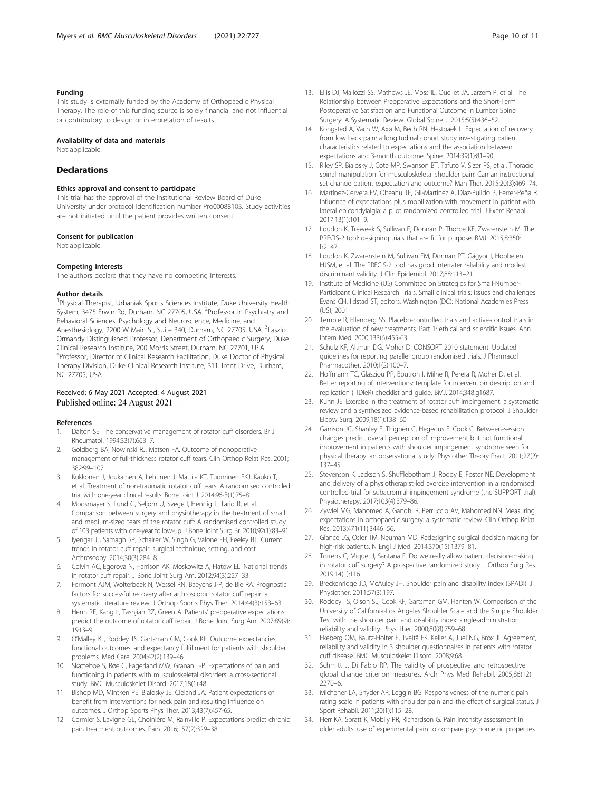## <span id="page-9-0"></span>Funding

This study is externally funded by the Academy of Orthopaedic Physical Therapy. The role of this funding source is solely financial and not influential or contributory to design or interpretation of results.

## Availability of data and materials

Not applicable.

## Declarations

#### Ethics approval and consent to participate

This trial has the approval of the Institutional Review Board of Duke University under protocol identification number Pro00088103. Study activities are not initiated until the patient provides written consent.

#### Consent for publication

Not applicable.

#### Competing interests

The authors declare that they have no competing interests.

#### Author details

<sup>1</sup> Physical Therapist, Urbaniak Sports Sciences Institute, Duke University Health System, 3475 Erwin Rd, Durham, NC 27705, USA. <sup>2</sup>Professor in Psychiatry and Behavioral Sciences, Psychology and Neuroscience, Medicine, and Anesthesiology, 2200 W Main St, Suite 340, Durham, NC 27705, USA. <sup>3</sup>Laszlo Ormandy Distinguished Professor, Department of Orthopaedic Surgery, Duke Clinical Research Institute, 200 Morris Street, Durham, NC 27701, USA. <sup>4</sup>Professor, Director of Clinical Research Facilitation, Duke Doctor of Physical Therapy Division, Duke Clinical Research Institute, 311 Trent Drive, Durham, NC 27705, USA.

## Received: 6 May 2021 Accepted: 4 August 2021 Published online: 24 August 2021

#### References

- Dalton SE. The conservative management of rotator cuff disorders. Br J Rheumatol. 1994;33(7):663–7.
- 2. Goldberg BA, Nowinski RJ, Matsen FA. Outcome of nonoperative management of full-thickness rotator cuff tears. Clin Orthop Relat Res. 2001; 382:99–107.
- 3. Kukkonen J, Joukainen A, Lehtinen J, Mattila KT, Tuominen EKJ, Kauko T, et al. Treatment of non-traumatic rotator cuff tears: A randomised controlled trial with one-year clinical results. Bone Joint J. 2014;96-B(1):75–81.
- Moosmayer S, Lund G, Seljom U, Svege I, Hennig T, Tarig R, et al. Comparison between surgery and physiotherapy in the treatment of small and medium-sized tears of the rotator cuff: A randomised controlled study of 103 patients with one-year follow-up. J Bone Joint Surg Br. 2010;92(1):83–91.
- 5. Iyengar JJ, Samagh SP, Schairer W, Singh G, Valone FH, Feeley BT. Current trends in rotator cuff repair: surgical technique, setting, and cost. Arthroscopy. 2014;30(3):284–8.
- Colvin AC, Egorova N, Harrison AK, Moskowitz A, Flatow EL. National trends in rotator cuff repair. J Bone Joint Surg Am. 2012;94(3):227–33.
- Fermont AJM, Wolterbeek N, Wessel RN, Baeyens J-P, de Bie RA. Prognostic factors for successful recovery after arthroscopic rotator cuff repair: a systematic literature review. J Orthop Sports Phys Ther. 2014;44(3):153–63.
- Henn RF, Kang L, Tashjian RZ, Green A. Patients' preoperative expectations predict the outcome of rotator cuff repair. J Bone Joint Surg Am. 2007;89(9): 1913–9.
- 9. O'Malley KJ, Roddey TS, Gartsman GM, Cook KF. Outcome expectancies, functional outcomes, and expectancy fulfillment for patients with shoulder problems. Med Care. 2004;42(2):139–46.
- 10. Skatteboe S, Røe C, Fagerland MW, Granan L-P. Expectations of pain and functioning in patients with musculoskeletal disorders: a cross-sectional study. BMC Musculoskelet Disord. 2017;18(1):48.
- 11. Bishop MD, Mintken PE, Bialosky JE, Cleland JA. Patient expectations of benefit from interventions for neck pain and resulting influence on outcomes. J Orthop Sports Phys Ther. 2013;43(7):457-65.
- 12. Cormier S, Lavigne GL, Choinière M, Rainville P. Expectations predict chronic pain treatment outcomes. Pain. 2016;157(2):329–38.
- 13. Ellis DJ, Mallozzi SS, Mathews JE, Moss IL, Ouellet JA, Jarzem P, et al. The Relationship between Preoperative Expectations and the Short-Term Postoperative Satisfaction and Functional Outcome in Lumbar Spine Surgery: A Systematic Review. Global Spine J. 2015;5(5):436–52.
- 14. Kongsted A, Vach W, Axø M, Bech RN, Hestbaek L. Expectation of recovery from low back pain: a longitudinal cohort study investigating patient characteristics related to expectations and the association between expectations and 3-month outcome. Spine. 2014;39(1):81–90.
- 15. Riley SP, Bialosky J, Cote MP, Swanson BT, Tafuto V, Sizer PS, et al. Thoracic spinal manipulation for musculoskeletal shoulder pain: Can an instructional set change patient expectation and outcome? Man Ther. 2015;20(3):469–74.
- 16. Martínez-Cervera FV, Olteanu TE, Gil-Martínez A, Díaz-Pulido B, Ferrer-Peña R. Influence of expectations plus mobilization with movement in patient with lateral epicondylalgia: a pilot randomized controlled trial. J Exerc Rehabil. 2017;13(1):101–9.
- 17. Loudon K, Treweek S, Sullivan F, Donnan P, Thorpe KE, Zwarenstein M. The PRECIS-2 tool: designing trials that are fit for purpose. BMJ. 2015;8:350: h2147.
- 18. Loudon K, Zwarenstein M, Sullivan FM, Donnan PT, Gágyor I, Hobbelen HJSM, et al. The PRECIS-2 tool has good interrater reliability and modest discriminant validity. J Clin Epidemiol. 2017;88:113–21.
- 19. Institute of Medicine (US) Committee on Strategies for Small-Number-Participant Clinical Research Trials. Small clinical trials: issues and challenges. Evans CH, Ildstad ST, editors. Washington (DC): National Academies Press (US); 2001.
- 20. Temple R, Ellenberg SS. Placebo-controlled trials and active-control trials in the evaluation of new treatments. Part 1: ethical and scientific issues. Ann Intern Med. 2000;133(6):455-63.
- 21. Schulz KF, Altman DG, Moher D. CONSORT 2010 statement: Updated guidelines for reporting parallel group randomised trials. J Pharmacol Pharmacother. 2010;1(2):100–7.
- 22. Hoffmann TC, Glasziou PP, Boutron I, Milne R, Perera R, Moher D, et al. Better reporting of interventions: template for intervention description and replication (TIDieR) checklist and guide. BMJ. 2014;348:g1687.
- 23. Kuhn JE. Exercise in the treatment of rotator cuff impingement: a systematic review and a synthesized evidence-based rehabilitation protocol. J Shoulder Elbow Surg. 2009;18(1):138–60.
- 24. Garrison JC, Shanley E, Thigpen C, Hegedus E, Cook C. Between-session changes predict overall perception of improvement but not functional improvement in patients with shoulder impingement syndrome seen for physical therapy: an observational study. Physiother Theory Pract. 2011;27(2): 137–45.
- 25. Stevenson K, Jackson S, Shufflebotham J, Roddy E, Foster NE. Development and delivery of a physiotherapist-led exercise intervention in a randomised controlled trial for subacromial impingement syndrome (the SUPPORT trial). Physiotherapy. 2017;103(4):379–86.
- 26. Zywiel MG, Mahomed A, Gandhi R, Perruccio AV, Mahomed NN. Measuring expectations in orthopaedic surgery: a systematic review. Clin Orthop Relat Res. 2013;471(11):3446–56.
- 27. Glance LG, Osler TM, Neuman MD. Redesigning surgical decision making for high-risk patients. N Engl J Med. 2014;370(15):1379–81.
- 28. Torrens C, Miquel J, Santana F. Do we really allow patient decision-making in rotator cuff surgery? A prospective randomized study. J Orthop Surg Res. 2019;14(1):116.
- 29. Breckenridge JD, McAuley JH. Shoulder pain and disability index (SPADI). J Physiother. 2011;57(3):197.
- 30. Roddey TS, Olson SL, Cook KF, Gartsman GM, Hanten W. Comparison of the University of California-Los Angeles Shoulder Scale and the Simple Shoulder Test with the shoulder pain and disability index: single-administration reliability and validity. Phys Ther. 2000;80(8):759–68.
- 31. Ekeberg OM, Bautz-Holter E, Tveitå EK, Keller A, Juel NG, Brox JI. Agreement, reliability and validity in 3 shoulder questionnaires in patients with rotator cuff disease. BMC Musculoskelet Disord. 2008;9:68.
- 32. Schmitt J, Di Fabio RP. The validity of prospective and retrospective global change criterion measures. Arch Phys Med Rehabil. 2005;86(12): 2270–6.
- 33. Michener LA, Snyder AR, Leggin BG. Responsiveness of the numeric pain rating scale in patients with shoulder pain and the effect of surgical status. J Sport Rehabil. 2011;20(1):115–28.
- 34. Herr KA, Spratt K, Mobily PR, Richardson G. Pain intensity assessment in older adults: use of experimental pain to compare psychometric properties